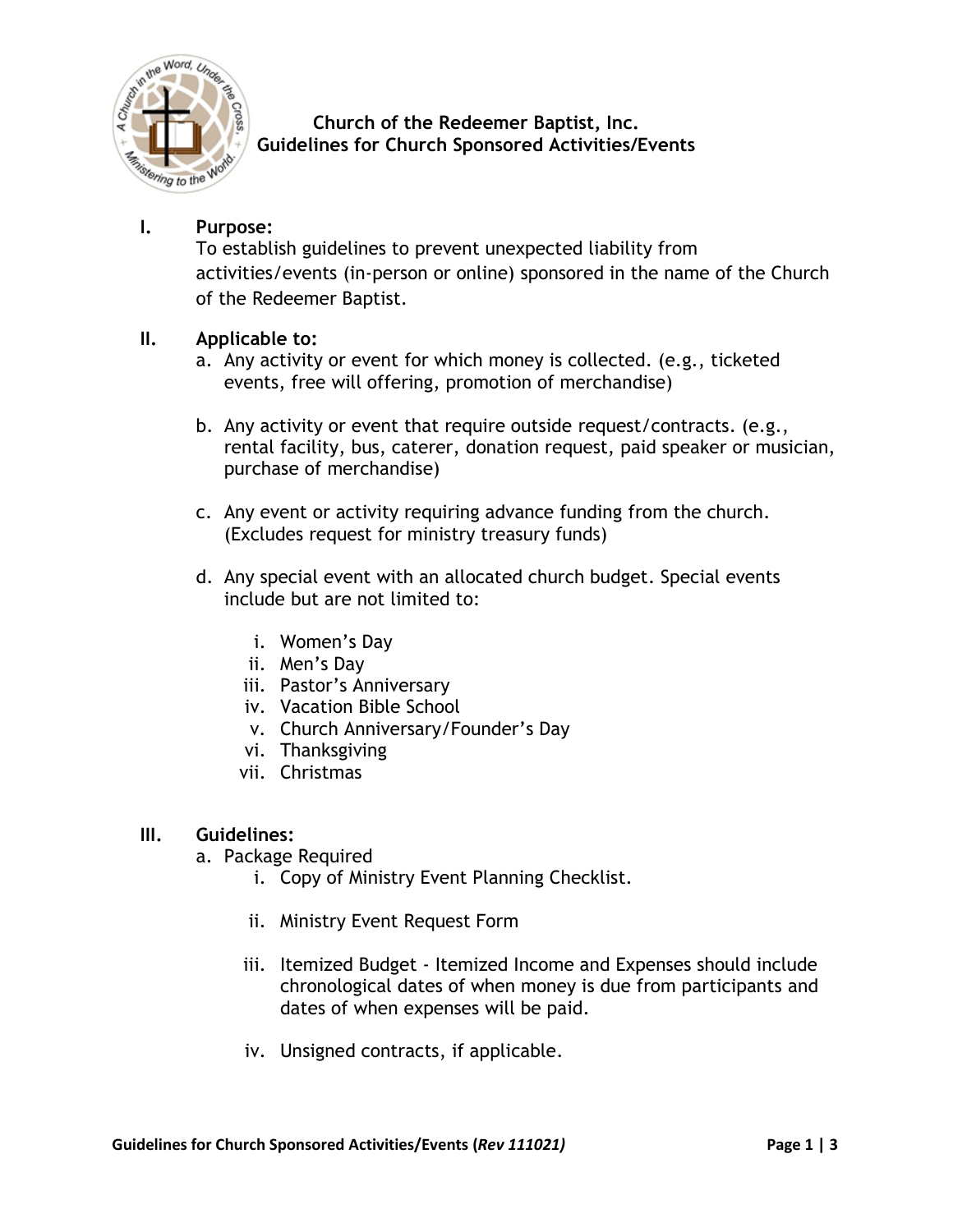

# **Church of the Redeemer Baptist, Inc. Guidelines for Church Sponsored Activities/Events**

# **I. Purpose:**

To establish guidelines to prevent unexpected liability from activities/events (in-person or online) sponsored in the name of the Church of the Redeemer Baptist.

### **II. Applicable to:**

- a. Any activity or event for which money is collected. (e.g., ticketed events, free will offering, promotion of merchandise)
- b. Any activity or event that require outside request/contracts. (e.g., rental facility, bus, caterer, donation request, paid speaker or musician, purchase of merchandise)
- c. Any event or activity requiring advance funding from the church. (Excludes request for ministry treasury funds)
- d. Any special event with an allocated church budget. Special events include but are not limited to:
	- i. Women's Day
	- ii. Men's Day
	- iii. Pastor's Anniversary
	- iv. Vacation Bible School
	- v. Church Anniversary/Founder's Day
	- vi. Thanksgiving
	- vii. Christmas

#### **III. Guidelines:**

- a. Package Required
	- i. Copy of Ministry Event Planning Checklist.
	- ii. Ministry Event Request Form
	- iii. Itemized Budget Itemized Income and Expenses should include chronological dates of when money is due from participants and dates of when expenses will be paid.
	- iv. Unsigned contracts, if applicable.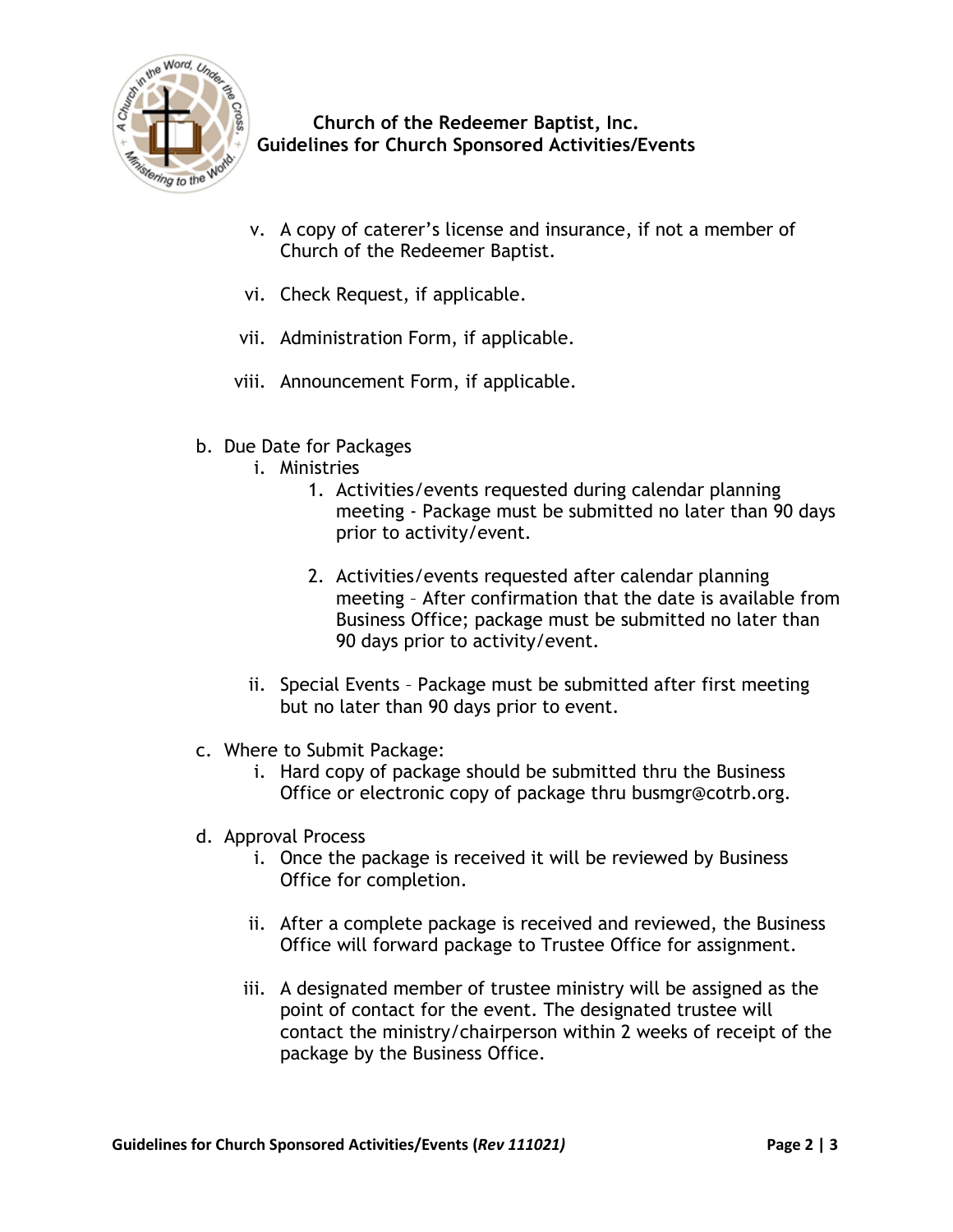

**Church of the Redeemer Baptist, Inc. Guidelines for Church Sponsored Activities/Events**

- v. A copy of caterer's license and insurance, if not a member of Church of the Redeemer Baptist.
- vi. Check Request, if applicable.
- vii. Administration Form, if applicable.
- viii. Announcement Form, if applicable.
- b. Due Date for Packages
	- i. Ministries
		- 1. Activities/events requested during calendar planning meeting - Package must be submitted no later than 90 days prior to activity/event.
		- 2. Activities/events requested after calendar planning meeting – After confirmation that the date is available from Business Office; package must be submitted no later than 90 days prior to activity/event.
	- ii. Special Events Package must be submitted after first meeting but no later than 90 days prior to event.
- c. Where to Submit Package:
	- i. Hard copy of package should be submitted thru the Business Office or electronic copy of package thru busmgr@cotrb.org.
- d. Approval Process
	- i. Once the package is received it will be reviewed by Business Office for completion.
	- ii. After a complete package is received and reviewed, the Business Office will forward package to Trustee Office for assignment.
	- iii. A designated member of trustee ministry will be assigned as the point of contact for the event. The designated trustee will contact the ministry/chairperson within 2 weeks of receipt of the package by the Business Office.